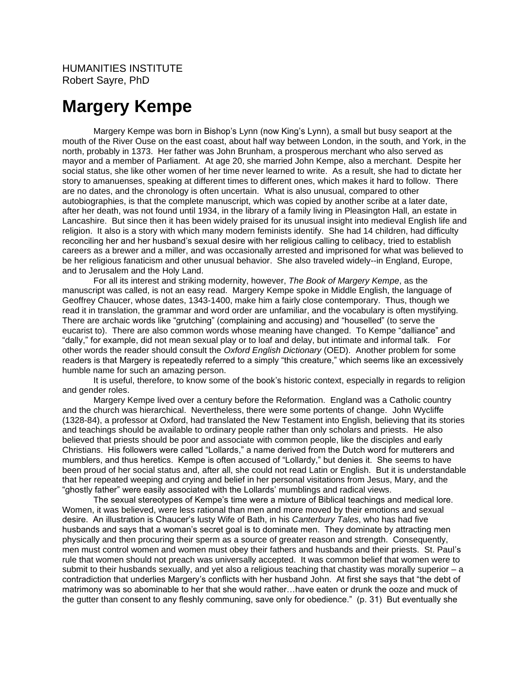## **Margery Kempe**

Margery Kempe was born in Bishop's Lynn (now King's Lynn), a small but busy seaport at the mouth of the River Ouse on the east coast, about half way between London, in the south, and York, in the north, probably in 1373. Her father was John Brunham, a prosperous merchant who also served as mayor and a member of Parliament. At age 20, she married John Kempe, also a merchant. Despite her social status, she like other women of her time never learned to write. As a result, she had to dictate her story to amanuenses, speaking at different times to different ones, which makes it hard to follow. There are no dates, and the chronology is often uncertain. What is also unusual, compared to other autobiographies, is that the complete manuscript, which was copied by another scribe at a later date, after her death, was not found until 1934, in the library of a family living in Pleasington Hall, an estate in Lancashire. But since then it has been widely praised for its unusual insight into medieval English life and religion. It also is a story with which many modern feminists identify. She had 14 children, had difficulty reconciling her and her husband's sexual desire with her religious calling to celibacy, tried to establish careers as a brewer and a miller, and was occasionally arrested and imprisoned for what was believed to be her religious fanaticism and other unusual behavior. She also traveled widely--in England, Europe, and to Jerusalem and the Holy Land.

For all its interest and striking modernity, however, *The Book of Margery Kempe*, as the manuscript was called, is not an easy read. Margery Kempe spoke in Middle English, the language of Geoffrey Chaucer, whose dates, 1343-1400, make him a fairly close contemporary. Thus, though we read it in translation, the grammar and word order are unfamiliar, and the vocabulary is often mystifying. There are archaic words like "grutching" (complaining and accusing) and "houselled" (to serve the eucarist to). There are also common words whose meaning have changed. To Kempe "dalliance" and "dally," for example, did not mean sexual play or to loaf and delay, but intimate and informal talk. For other words the reader should consult the *Oxford English Dictionary* (OED). Another problem for some readers is that Margery is repeatedly referred to a simply "this creature," which seems like an excessively humble name for such an amazing person.

It is useful, therefore, to know some of the book's historic context, especially in regards to religion and gender roles.

Margery Kempe lived over a century before the Reformation. England was a Catholic country and the church was hierarchical. Nevertheless, there were some portents of change. John Wycliffe (1328-84), a professor at Oxford, had translated the New Testament into English, believing that its stories and teachings should be available to ordinary people rather than only scholars and priests. He also believed that priests should be poor and associate with common people, like the disciples and early Christians. His followers were called "Lollards," a name derived from the Dutch word for mutterers and mumblers, and thus heretics. Kempe is often accused of "Lollardy," but denies it. She seems to have been proud of her social status and, after all, she could not read Latin or English. But it is understandable that her repeated weeping and crying and belief in her personal visitations from Jesus, Mary, and the "ghostly father" were easily associated with the Lollards' mumblings and radical views.

The sexual stereotypes of Kempe's time were a mixture of Biblical teachings and medical lore. Women, it was believed, were less rational than men and more moved by their emotions and sexual desire. An illustration is Chaucer's lusty Wife of Bath, in his *Canterbury Tales*, who has had five husbands and says that a woman's secret goal is to dominate men. They dominate by attracting men physically and then procuring their sperm as a source of greater reason and strength. Consequently, men must control women and women must obey their fathers and husbands and their priests. St. Paul's rule that women should not preach was universally accepted. It was common belief that women were to submit to their husbands sexually, and yet also a religious teaching that chastity was morally superior – a contradiction that underlies Margery's conflicts with her husband John. At first she says that "the debt of matrimony was so abominable to her that she would rather…have eaten or drunk the ooze and muck of the gutter than consent to any fleshly communing, save only for obedience." (p. 31) But eventually she